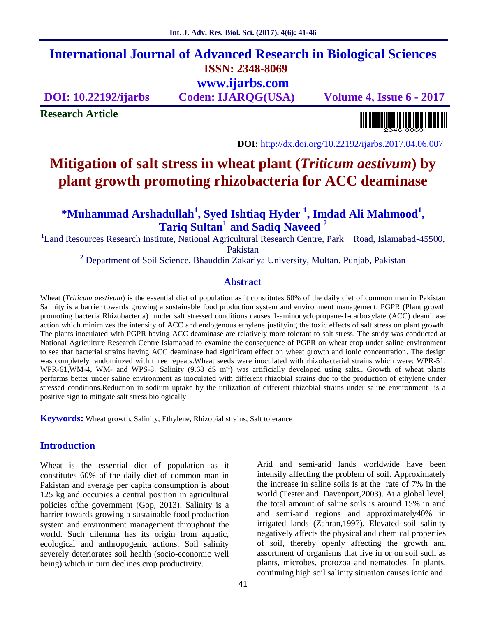# **International Journal of Advanced Research in Biological Sciences ISSN: 2348-8069 www.ijarbs.com**

**DOI: 10.22192/ijarbs Coden: IJARQG(USA) Volume 4, Issue 6 - 2017**

**Research Article**

<u> Alban kalendari kalendar pada sebagai pengangkan pada atau pada atau pada atau sebagai pada atau salah pada a</u>

**DOI:** http://dx.doi.org/10.22192/ijarbs.2017.04.06.007

# **Mitigation of salt stress in wheat plant (***Triticum aestivum***) by plant growth promoting rhizobacteria for ACC deaminase**

**\*Muhammad Arshadullah<sup>1</sup> , Syed Ishtiaq Hyder <sup>1</sup> , Imdad Ali Mahmood<sup>1</sup> , Tariq Sultan<sup>1</sup> and Sadiq Naveed <sup>2</sup>**

<sup>1</sup> Land Resources Research Institute, National Agricultural Research Centre, Park Road, Islamabad-45500,

Pakistan

<sup>2</sup> Department of Soil Science, Bhauddin Zakariya University, Multan, Punjab, Pakistan

# **Abstract**

Wheat (*Triticum aestivum*) is the essential diet of population as it constitutes 60% of the daily diet of common man in Pakistan Salinity is a barrier towards growing a sustainable food production system and environment management. PGPR (Plant growth promoting bacteria Rhizobacteria) under salt stressed conditions causes 1-aminocyclopropane-1-carboxylate (ACC) deaminase action which minimizes the intensity of ACC and endogenous ethylene justifying the toxic effects of salt stress on plant growth. The plants inoculated with PGPR having ACC deaminase are relatively more tolerant to salt stress. The study was conducted at National Agriculture Research Centre Islamabad to examine the consequence of PGPR on wheat crop under saline environment to see that bacterial strains having ACC deaminase had significant effect on wheat growth and ionic concentration. The design was completely randominzed with three repeats.Wheat seeds were inoculated with rhizobacterial strains which were: WPR-51, WPR-61,WM-4, WM- and WPS-8. Salinity (9.68 dS m<sup>-1</sup>) was artificially developed using salts.. Growth of wheat plants performs better under saline environment as inoculated with different rhizobial strains due to the production of ethylene under stressed conditions.Reduction in sodium uptake by the utilization of different rhizobial strains under saline environment is a positive sign to mitigate salt stress biologically

**Keywords:** Wheat growth, Salinity, Ethylene, Rhizobial strains, Salt tolerance

# **Introduction**

Wheat is the essential diet of population as it constitutes 60% of the daily diet of common man in Pakistan and average per capita consumption is about 125 kg and occupies a central position in agricultural policies ofthe government (Gop, 2013). Salinity is a barrier towards growing a sustainable food production system and environment management throughout the world. Such dilemma has its origin from aquatic, ecological and anthropogenic actions. Soil salinity severely deteriorates soil health (socio-economic well being) which in turn declines crop productivity.

Arid and semi-arid lands worldwide have been intensily affecting the problem of soil. Approximately the increase in saline soils is at the rate of 7% in the world (Tester and. Davenport,2003). At a global level, the total amount of saline soils is around 15% in arid and semi-arid regions and approximately40% in irrigated lands (Zahran,1997). Elevated soil salinity negatively affects the physical and chemical properties of soil, thereby openly affecting the growth and assortment of organisms that live in or on soil such as plants, microbes, protozoa and nematodes. In plants, continuing high soil salinity situation causes ionic and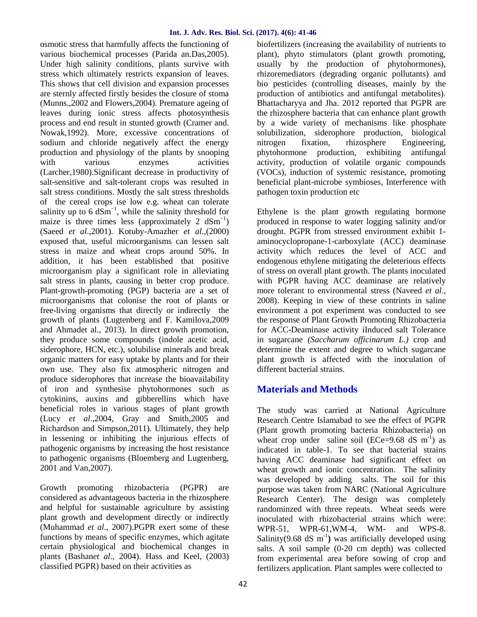osmotic stress that harmfully affects the functioning of various biochemical processes (Parida an.Das,2005). Under high salinity conditions, plants survive with stress which ultimately restricts expansion of leaves. This shows that cell division and expansion processes are sternly affected firstly besides the closure of stoma (Munns.,2002 and Flowers,2004). Premature ageing of leaves during ionic stress affects photosynthesis process and end result in stunted growth (Cramer and. Nowak,1992). More, excessive concentrations of sodium and chloride negatively affect the energy mitrogen production and physiology of the plants by snooping with various enzymes activities (Larcher,1980).Significant decrease in productivity of salt-sensitive and salt-tolerant crops was resulted in salt stress conditions. Mostly the salt stress thresholds of the cereal crops ise low e.g. wheat can tolerate salinity up to 6  $dSm^{-1}$ , while the salinity threshold for maize is three times less (approximately 2  $dSm^{-1}$ ) (Saeed *et al*.,2001). Kotuby-Amazher *et al*.,(2000) exposed that, useful microorganisms can lessen salt stress in maize and wheat crops around 50%. In addition, it has been established that positive microorganism play a significant role in alleviating salt stress in plants, causing in better crop produce. Plant-growth-promoting (PGP) bacteria are a set of microorganisms that colonise the root of plants or free-living organisms that directly or indirectly the growth of plants (Lugtenberg and F. Kamilova,2009 and Ahmadet al., 2013). In direct growth promotion, they produce some compounds (indole acetic acid, siderophore, HCN, etc.), solubilise minerals and break organic matters for easy uptake by plants and for their own use. They also fix atmospheric nitrogen and produce siderophores that increase the bioavailability of iron and synthesise phytohormones such as cytokinins, auxins and gibberellins which have beneficial roles in various stages of plant growth (Lucy *et al*.,2004, Gray and Smith,2005 and Richardson and Simpson,2011). Ultimately, they help in lessening or inhibiting the injurious effects of pathogenic organisms by increasing the host resistance to pathogenic organisms (Bloemberg and Lugtenberg, 2001 and Van,2007).

Growth promoting rhizobacteria (PGPR) are considered as advantageous bacteria in the rhizosphere and helpful for sustainable agriculture by assisting plant growth and development directly or indirectly (Muhammad *et al*., 2007).PGPR exert some of these functions by means of specific enzymes, which agitate certain physiological and biochemical changes in plants (Bashan*et al*., 2004). Hass and Keel, (2003) classified PGPR) based on their activities as

biofertilizers (increasing the availability of nutrients to plant), phyto stimulators (plant growth promoting, usually by the production of phytohormones), rhizoremediators (degrading organic pollutants) and bio pesticides (controlling diseases, mainly by the production of antibiotics and antifungal metabolites). Bhattacharyya and Jha. 2012 reported that PGPR are the rhizosphere bacteria that can enhance plant growth by a wide variety of mechanisms like phosphate solubilization, siderophore production, biological fixation, rhizosphere Engineering, phytohormone production, exhibiting antifungal activity, production of volatile organic compounds (VOCs), induction of systemic resistance, promoting beneficial plant-microbe symbioses, Interference with pathogen toxin production etc

Ethylene is the plant growth regulating hormone produced in response to water logging salinity and/or drought. PGPR from stressed environment exhibit 1 aminocyclopropane-1-carboxylate (ACC) deaminase activity which reduces the level of ACC and endogenous ethylene mitigating the deleterious effects of stress on overall plant growth. The plants inoculated with PGPR having ACC deaminase are relatively more tolerant to environmental stress (Naveed *et al*., 2008). Keeping in view of these contrints in saline environment a pot experiment was conducted to see the response of Plant Growth Promoting Rhizobacteria for ACC-Deaminase activity iInduced salt Tolerance in sugarcane *(Saccharum officinarum L.)* crop and determine the extent and degree to which sugarcane plant growth is affected with the inoculation of different bacterial strains.

# **Materials and Methods**

The study was carried at National Agriculture Research Centre Islamabad to see the effect of PGPR (Plant growth promoting bacteria Rhizobacteria) on wheat crop under saline soil (ECe=9.68 dS  $m^{-1}$ ) as indicated in table-1. To see that bacterial strains having ACC deaminase had significant effect on wheat growth and ionic concentration. The salinity was developed by adding salts. The soil for this purpose was taken from NARC (National Agriculture Research Center). The design was completely randominzed with three repeats. Wheat seeds were inoculated with rhizobacterial strains which were: WPR-61, WM-4, WM- and WPS-8. Salinity(9.68 dS  $m^{-1}$ ) was artificially developed using salts. A soil sample (0-20 cm depth) was collected from experimental area before sowing of crop and fertilizers application. Plant samples were collected to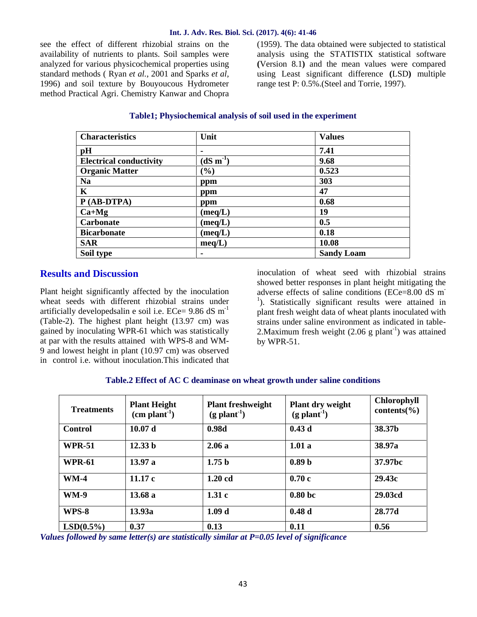#### **Int. J. Adv. Res. Biol. Sci. (2017). 4(6): 41-46**

see the effect of different rhizobial strains on the availability of nutrients to plants. Soil samples were analyzed for various physicochemical properties using standard methods ( Ryan *et al.*, 2001 and Sparks *et al,* 1996) and soil texture by Bouyoucous Hydrometer method Practical Agri. Chemistry Kanwar and Chopra

(1959). The data obtained were subjected to statistical analysis using the STATISTIX statistical software **(**Version 8.1**)** and the mean values were compared using Least significant difference **(**LSD**)** multiple range test P: 0.5%.(Steel and Torrie, 1997).

### **Table1; Physiochemical analysis of soil used in the experiment**

| <b>Characteristics</b>         | Unit             | <b>Values</b>     |
|--------------------------------|------------------|-------------------|
| pH                             |                  | 7.41              |
| <b>Electrical conductivity</b> | $(dS m-1)$       | 9.68              |
| <b>Organic Matter</b>          | $(\%)$           | 0.523             |
| <b>Na</b>                      | ppm              | 303               |
| $\mathbf K$                    | ppm              | 47                |
| $P(AB-DTPA)$                   | ppm              | 0.68              |
| $Ca+Mg$                        | $(\text{meq}/L)$ | 19                |
| <b>Carbonate</b>               | $(\text{meq}/L)$ | 0.5               |
| <b>Bicarbonate</b>             | $(\text{meq}/L)$ | 0.18              |
| <b>SAR</b>                     | meq/L)           | 10.08             |
| Soil type                      |                  | <b>Sandy Loam</b> |

# **Results and Discussion**

Plant height significantly affected by the inoculation adverse effects of saline conditions (ECe=8.00 dS m<sup>-</sup> wheat seeds with different rhizobial strains under artificially developedsalin e soil i.e.  $ECe= 9.86$  dS m<sup>-1</sup> (Table-2). The highest plant height (13.97 cm) was gained by inoculating WPR-61 which was statistically at par with the results attained with WPS-8 and WM- 9 and lowest height in plant (10.97 cm) was observed in control i.e. without inoculation.This indicated that

inoculation of wheat seed with rhizobial strains showed better responses in plant height mitigating the <sup>1</sup>). Statistically significant results were attained in plant fresh weight data of wheat plants inoculated with strains under saline environment as indicated in table- 2. Maximum fresh weight  $(2.06 \text{ g plant}^{-1})$  was attained by WPR-51.

#### **Table.2 Effect of AC C deaminase on wheat growth under saline conditions**

| <b>Treatments</b> | <b>Plant Height</b><br>$(cm plant-1)$ | <b>Plant freshweight</b><br>$(g$ plant <sup>-1</sup> ) | Plant dry weight<br>$(g$ plant <sup>-1</sup> ) | <b>Chlorophyll</b><br>contents( $\%$ ) |
|-------------------|---------------------------------------|--------------------------------------------------------|------------------------------------------------|----------------------------------------|
| Control           | 10.07 <sub>d</sub>                    | 0.98d                                                  | 0.43d                                          | 38.37b                                 |
| <b>WPR-51</b>     | 12.33 <sub>b</sub>                    | 2.06a                                                  | 1.01a                                          | 38.97a                                 |
| <b>WPR-61</b>     | 13.97 a                               | 1.75 <sub>b</sub>                                      | 0.89 <sub>b</sub>                              | 37.97bc                                |
| $WM-4$            | 11.17c                                | $1.20 \text{ cd}$                                      | 0.70c                                          | 29.43c                                 |
| <b>WM-9</b>       | 13.68a                                | 1.31c                                                  | 0.80 <sub>bc</sub>                             | 29.03cd                                |
| WPS-8             | 13.93a                                | 1.09 <sub>d</sub>                                      | 0.48d                                          | 28.77d                                 |
| $LSD(0.5\%)$      | 0.37                                  | 0.13                                                   | 0.11                                           | 0.56                                   |

*Values followed by same letter(s) are statistically similar at P=0.05 level of significance*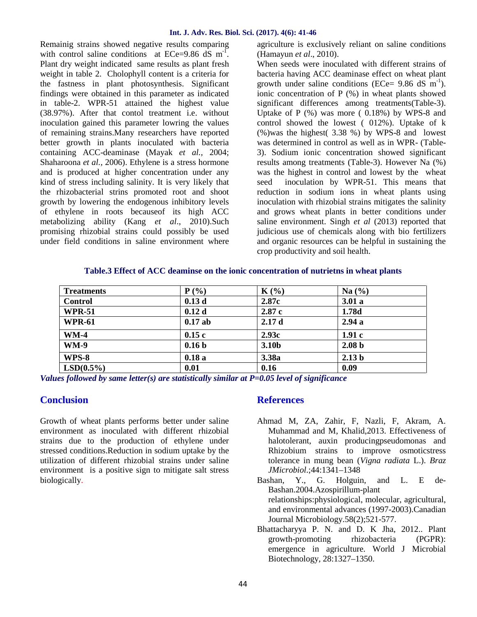#### **Int. J. Adv. Res. Biol. Sci. (2017). 4(6): 41-46**

Remainig strains showed negative results comparing with control saline conditions at ECe=9.86  $dS$  m<sup>-1</sup>. Plant dry weight indicated same results as plant fresh weight in table 2. Cholophyll content is a criteria for the fastness in plant photosynthesis. Significant findings were obtained in this parameter as indicated in table-2. WPR-51 attained the highest value (38.97%). After that contol treatment i.e. without inoculation gained this parameter lowring the values of remaining strains.Many researchers have reported better growth in plants inoculated with bacteria containing ACC-deaminase (Mayak *et al.,* 2004; Shaharoona *et al.,* 2006). Ethylene is a stress hormone and is produced at higher concentration under any kind of stress including salinity. It is very likely that the rhizobacterial strins promoted root and shoot growth by lowering the endogenous inhibitory levels of ethylene in roots becauseof its high ACC metabolizing ability (Kang *et al*., 2010).Such promising rhizobial strains could possibly be used under field conditions in saline environment where

agriculture is exclusively reliant on saline conditions (Hamayun *et al*., 2010).

When seeds were inoculated with different strains of bacteria having ACC deaminase effect on wheat plant growth under saline conditions (ECe=  $9.86$  dS m<sup>-1</sup>). ionic concentration of P (%) in wheat plants showed significant differences among treatments(Table-3). Uptake of  $P$  (%) was more (0.18%) by WPS-8 and control showed the lowest ( 012%). Uptake of k (%)was the highest( 3.38 %) by WPS-8 and lowest was determined in control as well as in WPR- (Table- 3). Sodium ionic concentration showed significant results among treatments (Table-3). However Na (%) was the highest in control and lowest by the wheat seed inoculation by WPR-51. This means that reduction in sodium ions in wheat plants using inoculation with rhizobial strains mitigates the salinity and grows wheat plants in better conditions under saline environment. Singh *et al* (2013) reported that judicious use of chemicals along with bio fertilizers and organic resources can be helpful in sustaining the crop productivity and soil health.

#### **Table.3 Effect of ACC deaminse on the ionic concentration of nutrietns in wheat plants**

| <b>Treatments</b> | P(%)              | $K(\%)$           | Na $(\%)$         |
|-------------------|-------------------|-------------------|-------------------|
| <b>Control</b>    | 0.13d             | 2.87c             | 3.01a             |
| <b>WPR-51</b>     | 0.12d             | 2.87c             | 1.78d             |
| <b>WPR-61</b>     | $0.17$ ab         | 2.17d             | 2.94a             |
| $WM-4$            | 0.15c             | 2.93c             | 1.91c             |
| <b>WM-9</b>       | 0.16 <sub>b</sub> | 3.10 <sub>b</sub> | 2.08 <sub>b</sub> |
| WPS-8             | 0.18a             | 3.38a             | 2.13 <sub>b</sub> |
| $LSD(0.5\%)$      | 0.01              | 0.16              | 0.09              |

*Values followed by same letter(s) are statistically similar at P=0.05 level of significance*

# **Conclusion**

Growth of wheat plants performs better under saline environment as inoculated with different rhizobial strains due to the production of ethylene under stressed conditions.Reduction in sodium uptake by the utilization of different rhizobial strains under saline environment is a positive sign to mitigate salt stress biologically.

# **References**

- Ahmad M, ZA, Zahir, F, Nazli, F, Akram, A. Muhammad and M, Khalid,2013. Effectiveness of halotolerant, auxin producingpseudomonas and Rhizobium strains to improve osmoticstress tolerance in mung bean (*Vigna radiata* L.).*Braz JMicrobiol*.;44:1341–1348
- Bashan, Y., G. Holguin, and L. E de- Bashan.2004.Azospirillum-plant relationships:physiological, molecular, agricultural, and environmental advances (1997-2003).Canadian Journal Microbiology.58(2);521-577.
- Bhattacharyya P. N. and D. K Jha, 2012.. Plant growth-promoting rhizobacteria (PGPR): emergence in agriculture. World J Microbial Biotechnology, 28:1327–1350.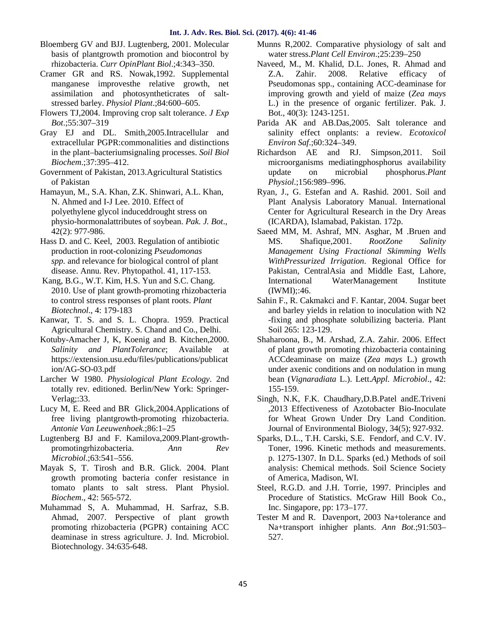- Bloemberg GV and BJJ. Lugtenberg, 2001. Molecular basis of plantgrowth promotion and biocontrol by rhizobacteria. *Curr OpinPlant Biol*.;4:343–350.
- Cramer GR and RS. Nowak,1992. Supplemental manganese improvesthe relative growth, net assimilation and photosyntheticrates of salt stressed barley. *Physiol Plant*.;84:600–605.
- Flowers TJ,2004. Improving crop salt tolerance. *J Exp Bot*.;55:307–319
- Gray EJ and DL. Smith,2005.Intracellular and extracellular PGPR:commonalities and distinctions in the plant–bacteriumsignaling processes. *Soil Biol Biochem*.;37:395–412.
- Government of Pakistan, 2013.Agricultural Statistics of Pakistan
- Hamayun, M., S.A. Khan, Z.K. Shinwari, A.L. Khan, N. Ahmed and I-J Lee. 2010. Effect of polyethylene glycol induceddrought stress on physio-hormonalattributes of soybean. *Pak. J. Bot*., 42(2): 977-986.
- Hass D. and C. Keel, 2003. Regulation of antibiotic production in root-colonizing *Pseudomonas spp.* and relevance for biological control of plant disease. Annu. Rev. Phytopathol. 41, 117-153.
- Kang, B.G., W.T. Kim, H.S. Yun and S.C. Chang. 2010. Use of plant growth-promoting rhizobacteria to control stress responses of plant roots. *Plant Biotechnol*., 4: 179-183
- Kanwar, T. S. and S. L. Chopra. 1959. Practical Agricultural Chemistry. S. Chand and Co., Delhi.
- Kotuby-Amacher J, K, Koenig and B. Kitchen,2000. *Salinity and PlantTolerance*; Available at https://extension.usu.edu/files/publications/publicat ion/AG-SO-03.pdf
- Larcher W 1980. *Physiological Plant Ecology*. 2nd totally rev. editioned. Berlin/New York: Springer- Verlag;:33.
- Lucy M, E. Reed and BR Glick,2004.Applications of free living plantgrowth-promoting rhizobacteria. *Antonie Van Leeuwenhoek*.;86:1–25
- Lugtenberg BJ and F. Kamilova,2009.Plant-growth promotingrhizobacteria. *Ann Rev Microbiol*.;63:541–556.
- Mayak S, T. Tirosh and B.R. Glick. 2004. Plant growth promoting bacteria confer resistance in tomato plants to salt stress. Plant Physiol. *Biochem*., 42: 565-572.
- Muhammad S, A. Muhammad, H. Sarfraz, S.B. Ahmad, 2007. Perspective of plant growth promoting rhizobacteria (PGPR) containing ACC deaminase in stress agriculture. J. Ind. Microbiol. Biotechnology. 34:635-648.
- Munns R,2002. Comparative physiology of salt and water stress.*Plant Cell Environ*.;25:239–250
- Naveed, M., M. Khalid, D.L. Jones, R. Ahmad and Z.A. Zahir. 2008. Relative efficacy of Pseudomonas spp., containing ACC-deaminase for improving growth and yield of maize (*Zea mays* L.) in the presence of organic fertilizer. Pak. J. Bot., 40(3): 1243-1251.
- Parida AK and AB.Das,2005. Salt tolerance and salinity effect onplants: a review. *Ecotoxicol Environ Saf*.;60:324–349.
- Richardson AE and RJ. Simpson,2011. Soil microorganisms mediatingphosphorus availability update on microbial phosphorus.*Plant Physiol*.;156:989–996.
- Ryan, J., G. Estefan and A. Rashid. 2001. Soil and Plant Analysis Laboratory Manual. International Center for Agricultural Research in the Dry Areas (ICARDA), Islamabad, Pakistan. 172p.
- Saeed MM, M. Ashraf, MN. Asghar, M .Bruen and MS. Shafique,2001. *RootZone Salinity Management Using Fractional Skimming Wells WithPressurized Irrigation*. Regional Office for Pakistan, CentralAsia and Middle East, Lahore, International WaterManagement Institute  $(IWMI):46.$
- Sahin F., R. Cakmakci and F. Kantar, 2004. Sugar beet and barley yields in relation to inoculation with N2 -fixing and phosphate solubilizing bacteria. Plant Soil 265: 123-129.
- Shaharoona, B., M. Arshad, Z.A. Zahir. 2006. Effect of plant growth promoting rhizobacteria containing ACCdeaminase on maize (*Zea mays* L.) growth under axenic conditions and on nodulation in mung bean (*Vignaradiata* L.).Lett.*Appl. Microbiol*., 42: 155-159.
- Singh, N.K, F.K. Chaudhary,D.B.Patel andE.Triveni ,2013 Effectiveness of Azotobacter Bio-Inoculate for Wheat Grown Under Dry Land Condition. Journal of Environmental Biology, 34(5); 927-932.
- Sparks, D.L., T.H. Carski, S.E. Fendorf, and C.V. IV. Toner, 1996. Kinetic methods and measurements. p. 1275-1307. In D.L. Sparks (ed.) Methods of soil analysis: Chemical methods. Soil Science Society of America, Madison, WI.
- Steel, R.G.D. and J.H. Torrie, 1997. Principles and Procedure of Statistics. McGraw Hill Book Co., Inc. Singapore, pp: 173–177.
- Tester M and R. Davenport, 2003 Na+tolerance and Na+transport inhigher plants. *Ann Bot*.;91:503– 527.